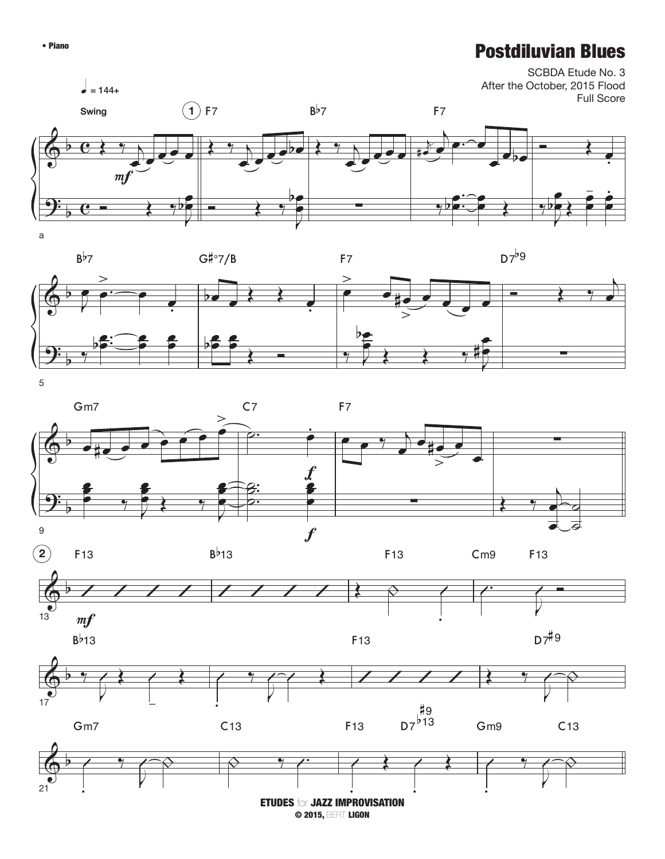## • Piano Postdiluvian Blues















© 2015, BERT LIGON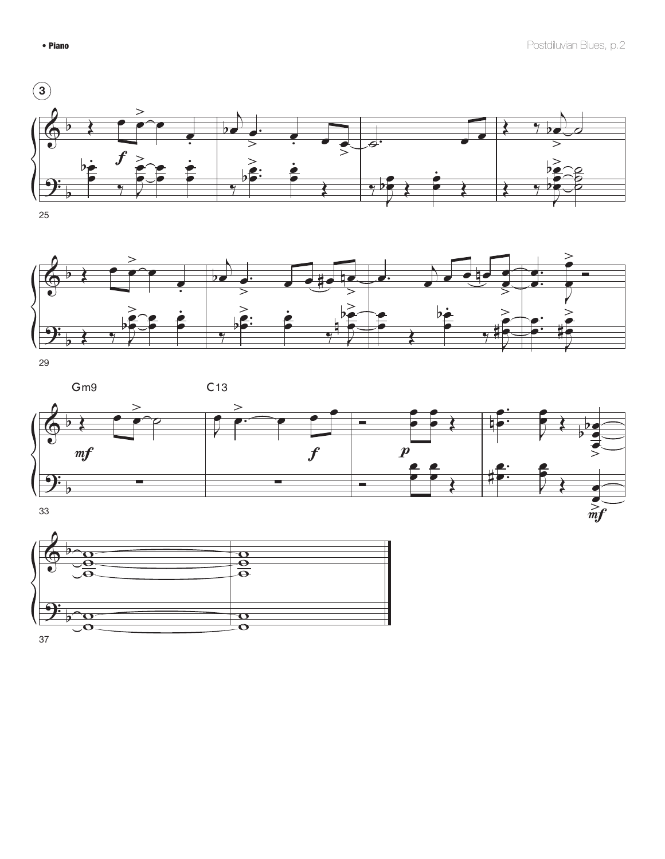





29